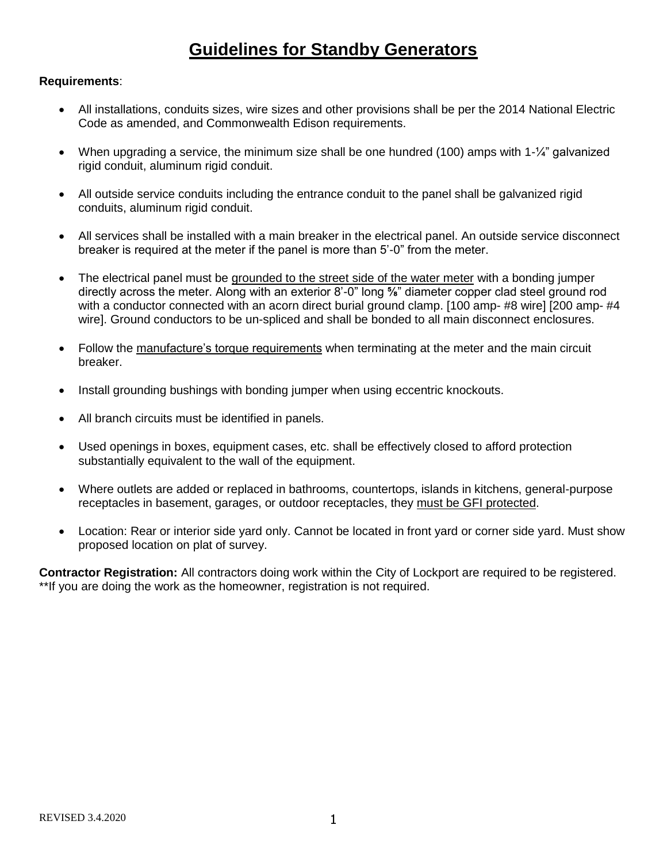## **Guidelines for Standby Generators**

## **Requirements**:

- All installations, conduits sizes, wire sizes and other provisions shall be per the 2014 National Electric Code as amended, and Commonwealth Edison requirements.
- When upgrading a service, the minimum size shall be one hundred (100) amps with 1-1/4" galvanized rigid conduit, aluminum rigid conduit.
- All outside service conduits including the entrance conduit to the panel shall be galvanized rigid conduits, aluminum rigid conduit.
- All services shall be installed with a main breaker in the electrical panel. An outside service disconnect breaker is required at the meter if the panel is more than 5'-0" from the meter.
- The electrical panel must be grounded to the street side of the water meter with a bonding jumper directly across the meter. Along with an exterior 8'-0" long **⅝**" diameter copper clad steel ground rod with a conductor connected with an acorn direct burial ground clamp. [100 amp- #8 wire] [200 amp- #4 wire]. Ground conductors to be un-spliced and shall be bonded to all main disconnect enclosures.
- Follow the manufacture's torque requirements when terminating at the meter and the main circuit breaker.
- Install grounding bushings with bonding jumper when using eccentric knockouts.
- All branch circuits must be identified in panels.
- Used openings in boxes, equipment cases, etc. shall be effectively closed to afford protection substantially equivalent to the wall of the equipment.
- Where outlets are added or replaced in bathrooms, countertops, islands in kitchens, general-purpose receptacles in basement, garages, or outdoor receptacles, they must be GFI protected.
- Location: Rear or interior side yard only. Cannot be located in front yard or corner side yard. Must show proposed location on plat of survey.

**Contractor Registration:** All contractors doing work within the City of Lockport are required to be registered. \*\*If you are doing the work as the homeowner, registration is not required.